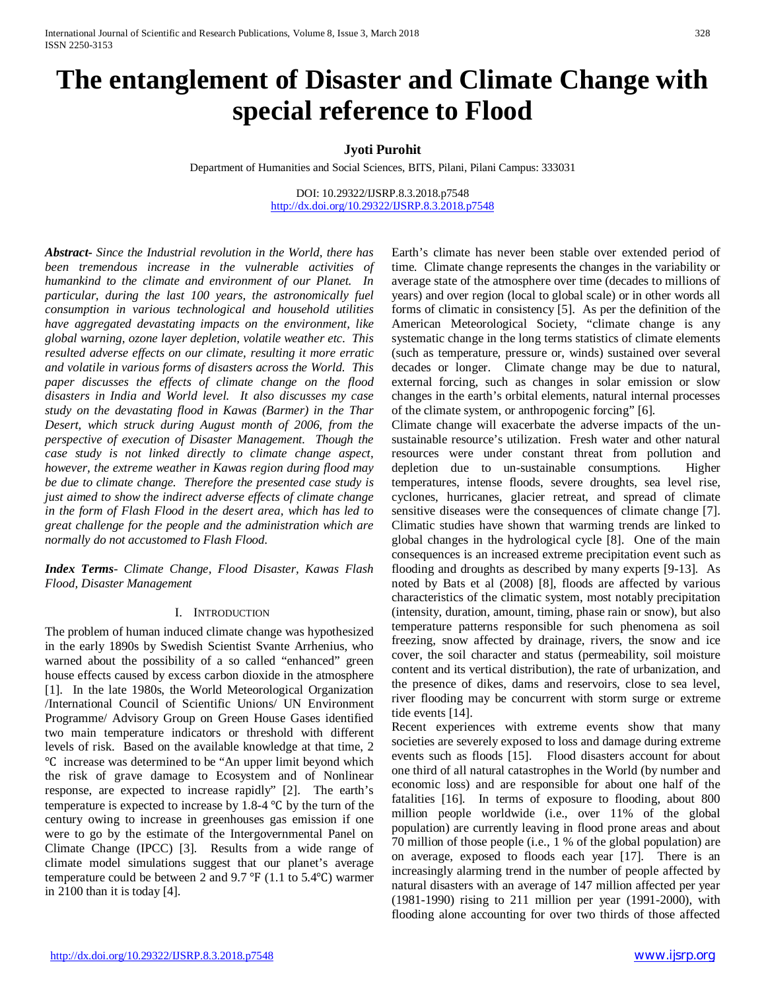# **The entanglement of Disaster and Climate Change with special reference to Flood**

# **Jyoti Purohit**

Department of Humanities and Social Sciences, BITS, Pilani, Pilani Campus: 333031

DOI: 10.29322/IJSRP.8.3.2018.p7548 <http://dx.doi.org/10.29322/IJSRP.8.3.2018.p7548>

*Abstract***-** *Since the Industrial revolution in the World, there has been tremendous increase in the vulnerable activities of humankind to the climate and environment of our Planet. In particular, during the last 100 years, the astronomically fuel consumption in various technological and household utilities have aggregated devastating impacts on the environment, like global warning, ozone layer depletion, volatile weather etc. This resulted adverse effects on our climate, resulting it more erratic and volatile in various forms of disasters across the World. This paper discusses the effects of climate change on the flood disasters in India and World level. It also discusses my case study on the devastating flood in Kawas (Barmer) in the Thar Desert, which struck during August month of 2006, from the perspective of execution of Disaster Management. Though the case study is not linked directly to climate change aspect, however, the extreme weather in Kawas region during flood may be due to climate change. Therefore the presented case study is just aimed to show the indirect adverse effects of climate change in the form of Flash Flood in the desert area, which has led to great challenge for the people and the administration which are normally do not accustomed to Flash Flood.*

*Index Terms*- *Climate Change, Flood Disaster, Kawas Flash Flood, Disaster Management*

## I. INTRODUCTION

The problem of human induced climate change was hypothesized in the early 1890s by Swedish Scientist Svante Arrhenius, who warned about the possibility of a so called "enhanced" green house effects caused by excess carbon dioxide in the atmosphere [1]. In the late 1980s, the World Meteorological Organization /International Council of Scientific Unions/ UN Environment Programme/ Advisory Group on Green House Gases identified two main temperature indicators or threshold with different levels of risk. Based on the available knowledge at that time, 2 ℃ increase was determined to be "An upper limit beyond which the risk of grave damage to Ecosystem and of Nonlinear response, are expected to increase rapidly" [2]. The earth's temperature is expected to increase by 1.8-4 ℃ by the turn of the century owing to increase in greenhouses gas emission if one were to go by the estimate of the Intergovernmental Panel on Climate Change (IPCC) [3]. Results from a wide range of climate model simulations suggest that our planet's average temperature could be between 2 and 9.7 ℉ (1.1 to 5.4℃) warmer in 2100 than it is today [4].

Earth's climate has never been stable over extended period of time. Climate change represents the changes in the variability or average state of the atmosphere over time (decades to millions of years) and over region (local to global scale) or in other words all forms of climatic in consistency [5]. As per the definition of the American Meteorological Society, "climate change is any systematic change in the long terms statistics of climate elements (such as temperature, pressure or, winds) sustained over several decades or longer. Climate change may be due to natural, external forcing, such as changes in solar emission or slow changes in the earth's orbital elements, natural internal processes of the climate system, or anthropogenic forcing" [6].

Climate change will exacerbate the adverse impacts of the unsustainable resource's utilization. Fresh water and other natural resources were under constant threat from pollution and depletion due to un-sustainable consumptions. Higher temperatures, intense floods, severe droughts, sea level rise, cyclones, hurricanes, glacier retreat, and spread of climate sensitive diseases were the consequences of climate change [7]. Climatic studies have shown that warming trends are linked to global changes in the hydrological cycle [8]. One of the main consequences is an increased extreme precipitation event such as flooding and droughts as described by many experts [9-13]. As noted by Bats et al (2008) [8], floods are affected by various characteristics of the climatic system, most notably precipitation (intensity, duration, amount, timing, phase rain or snow), but also temperature patterns responsible for such phenomena as soil freezing, snow affected by drainage, rivers, the snow and ice cover, the soil character and status (permeability, soil moisture content and its vertical distribution), the rate of urbanization, and the presence of dikes, dams and reservoirs, close to sea level, river flooding may be concurrent with storm surge or extreme tide events [14].

Recent experiences with extreme events show that many societies are severely exposed to loss and damage during extreme events such as floods [15]. Flood disasters account for about one third of all natural catastrophes in the World (by number and economic loss) and are responsible for about one half of the fatalities [16]. In terms of exposure to flooding, about 800 million people worldwide (i.e., over 11% of the global population) are currently leaving in flood prone areas and about 70 million of those people (i.e., 1 % of the global population) are on average, exposed to floods each year [17]. There is an increasingly alarming trend in the number of people affected by natural disasters with an average of 147 million affected per year (1981-1990) rising to 211 million per year (1991-2000), with flooding alone accounting for over two thirds of those affected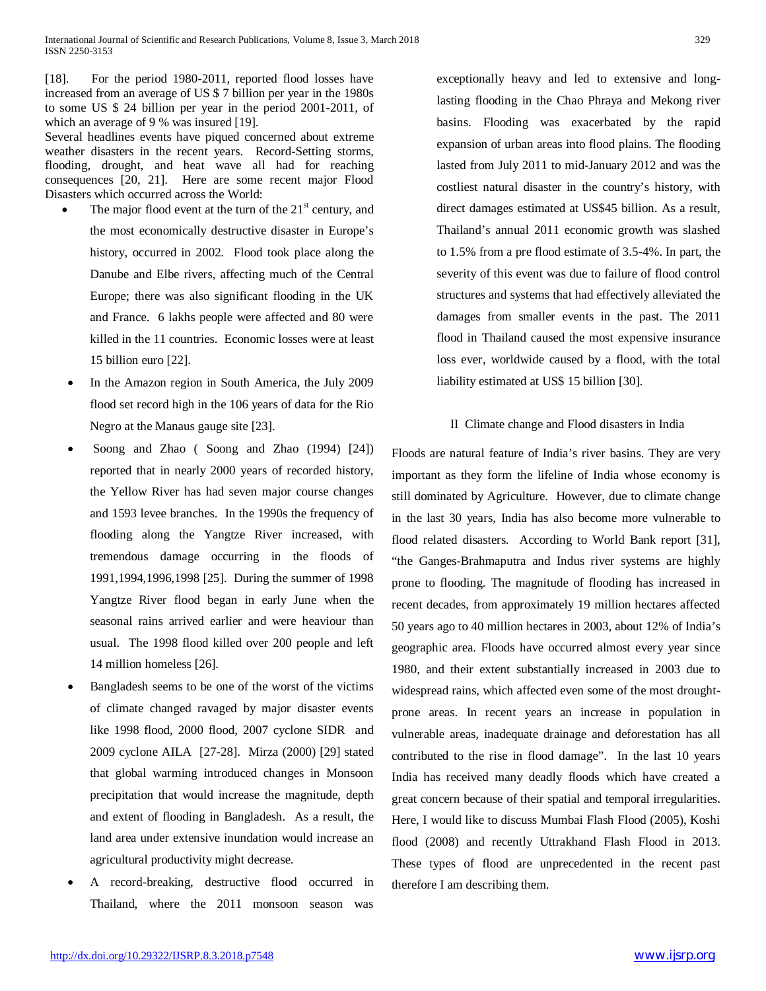[18]. For the period 1980-2011, reported flood losses have increased from an average of US \$ 7 billion per year in the 1980s to some US \$ 24 billion per year in the period 2001-2011, of which an average of 9 % was insured [19].

Several headlines events have piqued concerned about extreme weather disasters in the recent years. Record-Setting storms, flooding, drought, and heat wave all had for reaching consequences [20, 21]. Here are some recent major Flood Disasters which occurred across the World:

- The major flood event at the turn of the  $21<sup>st</sup>$  century, and the most economically destructive disaster in Europe's history, occurred in 2002. Flood took place along the Danube and Elbe rivers, affecting much of the Central Europe; there was also significant flooding in the UK and France. 6 lakhs people were affected and 80 were killed in the 11 countries. Economic losses were at least 15 billion euro [22].
- In the Amazon region in South America, the July 2009 flood set record high in the 106 years of data for the Rio Negro at the Manaus gauge site [23].
- Soong and Zhao ( Soong and Zhao (1994) [24]) reported that in nearly 2000 years of recorded history, the Yellow River has had seven major course changes and 1593 levee branches. In the 1990s the frequency of flooding along the Yangtze River increased, with tremendous damage occurring in the floods of 1991,1994,1996,1998 [25]. During the summer of 1998 Yangtze River flood began in early June when the seasonal rains arrived earlier and were heaviour than usual. The 1998 flood killed over 200 people and left 14 million homeless [26].
- Bangladesh seems to be one of the worst of the victims of climate changed ravaged by major disaster events like 1998 flood, 2000 flood, 2007 cyclone SIDR and 2009 cyclone AILA [27-28]. Mirza (2000) [29] stated that global warming introduced changes in Monsoon precipitation that would increase the magnitude, depth and extent of flooding in Bangladesh. As a result, the land area under extensive inundation would increase an agricultural productivity might decrease.
- A record-breaking, destructive flood occurred in Thailand, where the 2011 monsoon season was

exceptionally heavy and led to extensive and longlasting flooding in the Chao Phraya and Mekong river basins. Flooding was exacerbated by the rapid expansion of urban areas into flood plains. The flooding lasted from July 2011 to mid-January 2012 and was the costliest natural disaster in the country's history, with direct damages estimated at US\$45 billion. As a result, Thailand's annual 2011 economic growth was slashed to 1.5% from a pre flood estimate of 3.5-4%. In part, the severity of this event was due to failure of flood control structures and systems that had effectively alleviated the damages from smaller events in the past. The 2011 flood in Thailand caused the most expensive insurance loss ever, worldwide caused by a flood, with the total liability estimated at US\$ 15 billion [30].

## II Climate change and Flood disasters in India

Floods are natural feature of India's river basins. They are very important as they form the lifeline of India whose economy is still dominated by Agriculture. However, due to climate change in the last 30 years, India has also become more vulnerable to flood related disasters. According to World Bank report [31], "the Ganges-Brahmaputra and Indus river systems are highly prone to flooding. The magnitude of flooding has increased in recent decades, from approximately 19 million hectares affected 50 years ago to 40 million hectares in 2003, about 12% of India's geographic area. Floods have occurred almost every year since 1980, and their extent substantially increased in 2003 due to widespread rains, which affected even some of the most droughtprone areas. In recent years an increase in population in vulnerable areas, inadequate drainage and deforestation has all contributed to the rise in flood damage". In the last 10 years India has received many deadly floods which have created a great concern because of their spatial and temporal irregularities. Here, I would like to discuss Mumbai Flash Flood (2005), Koshi flood (2008) and recently Uttrakhand Flash Flood in 2013. These types of flood are unprecedented in the recent past therefore I am describing them.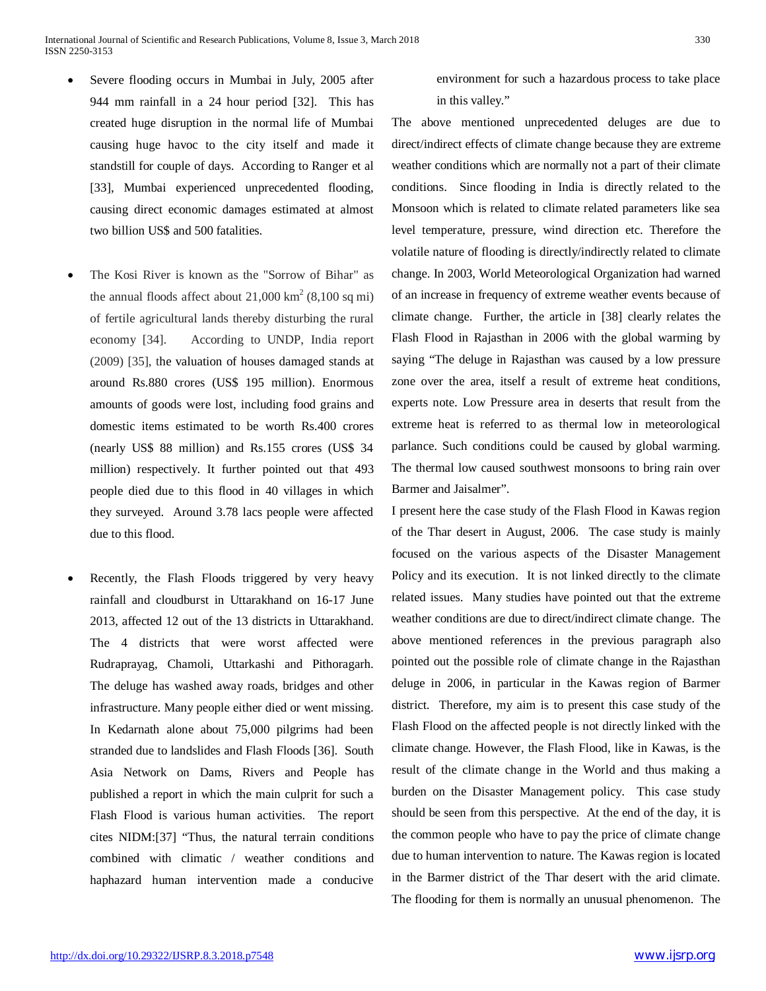- Severe flooding occurs in Mumbai in July, 2005 after 944 mm rainfall in a 24 hour period [32]. This has created huge disruption in the normal life of Mumbai causing huge havoc to the city itself and made it standstill for couple of days. According to Ranger et al [33], Mumbai experienced unprecedented flooding, causing direct economic damages estimated at almost two billion US\$ and 500 fatalities.
- The Kosi River is known as the "Sorrow of Bihar" as the annual floods affect about  $21,000 \text{ km}^2$  (8,100 sq mi) of fertile agricultural lands thereby disturbing the rural economy [34]. According to UNDP, India report (2009) [35], the valuation of houses damaged stands at around Rs.880 crores (US\$ 195 million). Enormous amounts of goods were lost, including food grains and domestic items estimated to be worth Rs.400 crores (nearly US\$ 88 million) and Rs.155 crores (US\$ 34 million) respectively. It further pointed out that 493 people died due to this flood in 40 villages in which they surveyed. Around 3.78 lacs people were affected due to this flood.
- Recently, the Flash Floods triggered by very heavy rainfall and cloudburst in Uttarakhand on 16-17 June 2013, affected 12 out of the 13 districts in Uttarakhand. The 4 districts that were worst affected were Rudraprayag, Chamoli, Uttarkashi and Pithoragarh. The deluge has washed away roads, bridges and other infrastructure. Many people either died or went missing. In Kedarnath alone about 75,000 pilgrims had been stranded due to landslides and Flash Floods [36]. South Asia Network on Dams, Rivers and People has published a report in which the main culprit for such a Flash Flood is various human activities. The report cites NIDM:[37] "Thus, the natural terrain conditions combined with climatic / weather conditions and haphazard human intervention made a conducive

environment for such a hazardous process to take place in this valley."

The above mentioned unprecedented deluges are due to direct/indirect effects of climate change because they are extreme weather conditions which are normally not a part of their climate conditions. Since flooding in India is directly related to the Monsoon which is related to climate related parameters like sea level temperature, pressure, wind direction etc. Therefore the volatile nature of flooding is directly/indirectly related to climate change. In 2003, World Meteorological Organization had warned of an increase in frequency of extreme weather events because of climate change. Further, the article in [38] clearly relates the Flash Flood in Rajasthan in 2006 with the global warming by saying "The deluge in Rajasthan was caused by a low pressure zone over the area, itself a result of extreme heat conditions, experts note. Low Pressure area in deserts that result from the extreme heat is referred to as thermal low in meteorological parlance. Such conditions could be caused by global warming. The thermal low caused southwest monsoons to bring rain over Barmer and Jaisalmer".

I present here the case study of the Flash Flood in Kawas region of the Thar desert in August, 2006. The case study is mainly focused on the various aspects of the Disaster Management Policy and its execution. It is not linked directly to the climate related issues. Many studies have pointed out that the extreme weather conditions are due to direct/indirect climate change. The above mentioned references in the previous paragraph also pointed out the possible role of climate change in the Rajasthan deluge in 2006, in particular in the Kawas region of Barmer district. Therefore, my aim is to present this case study of the Flash Flood on the affected people is not directly linked with the climate change. However, the Flash Flood, like in Kawas, is the result of the climate change in the World and thus making a burden on the Disaster Management policy. This case study should be seen from this perspective. At the end of the day, it is the common people who have to pay the price of climate change due to human intervention to nature. The Kawas region is located in the Barmer district of the Thar desert with the arid climate. The flooding for them is normally an unusual phenomenon. The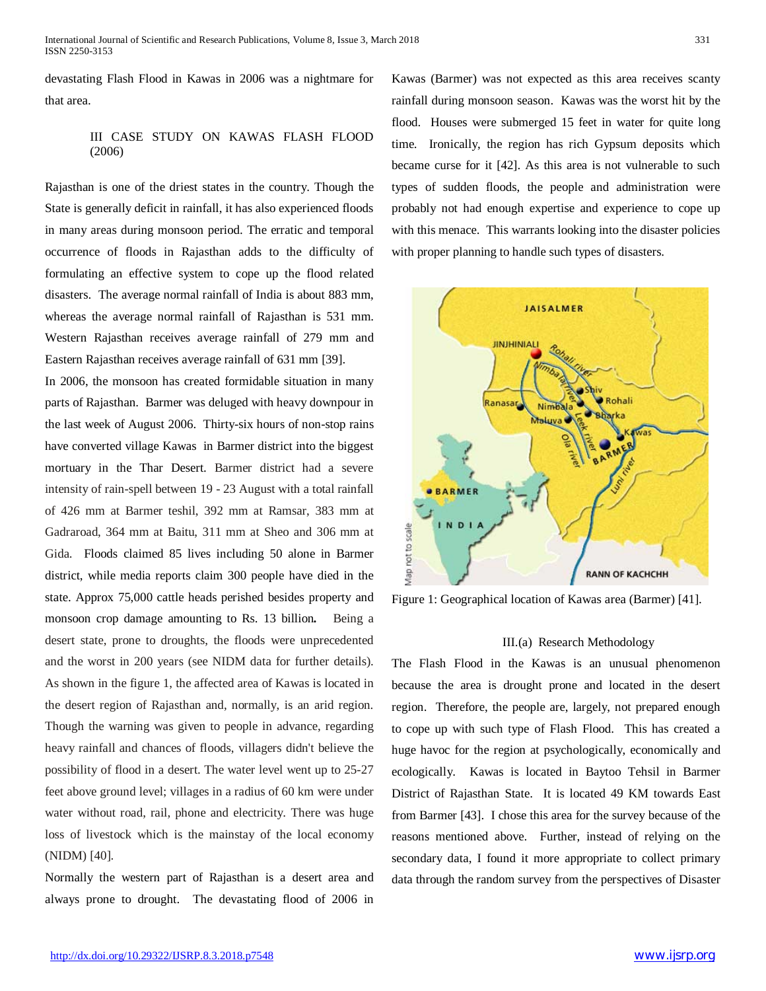devastating Flash Flood in Kawas in 2006 was a nightmare for that area.

# III CASE STUDY ON KAWAS FLASH FLOOD (2006)

Rajasthan is one of the driest states in the country. Though the State is generally deficit in rainfall, it has also experienced floods in many areas during monsoon period. The erratic and temporal occurrence of floods in Rajasthan adds to the difficulty of formulating an effective system to cope up the flood related disasters. The average normal rainfall of India is about 883 mm, whereas the average normal rainfall of Rajasthan is 531 mm. Western Rajasthan receives average rainfall of 279 mm and Eastern Rajasthan receives average rainfall of 631 mm [39].

In 2006, the monsoon has created formidable situation in many parts of Rajasthan. Barmer was deluged with heavy downpour in the last week of August 2006. Thirty-six hours of non-stop rains have converted village Kawas in Barmer district into the biggest mortuary in the Thar Desert. Barmer district had a severe intensity of rain-spell between 19 - 23 August with a total rainfall of 426 mm at Barmer teshil, 392 mm at Ramsar, 383 mm at Gadraroad, 364 mm at Baitu, 311 mm at Sheo and 306 mm at Gida. Floods claimed 85 lives including 50 alone in Barmer district, while media reports claim 300 people have died in the state. Approx 75,000 cattle heads perished besides property and monsoon crop damage amounting to Rs. 13 billion*.* Being a desert state, prone to droughts, the floods were unprecedented and the worst in 200 years (see NIDM data for further details). As shown in the figure 1, the affected area of Kawas is located in the desert region of Rajasthan and, normally, is an arid region. Though the warning was given to people in advance, regarding heavy rainfall and chances of floods, villagers didn't believe the possibility of flood in a desert. The water level went up to 25-27 feet above ground level; villages in a radius of 60 km were under water without road, rail, phone and electricity. There was huge loss of livestock which is the mainstay of the local economy (NIDM) [40].

Normally the western part of Rajasthan is a desert area and always prone to drought. The devastating flood of 2006 in Kawas (Barmer) was not expected as this area receives scanty rainfall during monsoon season. Kawas was the worst hit by the flood. Houses were submerged 15 feet in water for quite long time. Ironically, the region has rich Gypsum deposits which became curse for it [42]. As this area is not vulnerable to such types of sudden floods, the people and administration were probably not had enough expertise and experience to cope up with this menace. This warrants looking into the disaster policies with proper planning to handle such types of disasters.



Figure 1: Geographical location of Kawas area (Barmer) [41].

#### III.(a) Research Methodology

The Flash Flood in the Kawas is an unusual phenomenon because the area is drought prone and located in the desert region. Therefore, the people are, largely, not prepared enough to cope up with such type of Flash Flood. This has created a huge havoc for the region at psychologically, economically and ecologically. Kawas is located in Baytoo Tehsil in Barmer District of Rajasthan State. It is located 49 KM towards East from Barmer [43]. I chose this area for the survey because of the reasons mentioned above. Further, instead of relying on the secondary data, I found it more appropriate to collect primary data through the random survey from the perspectives of Disaster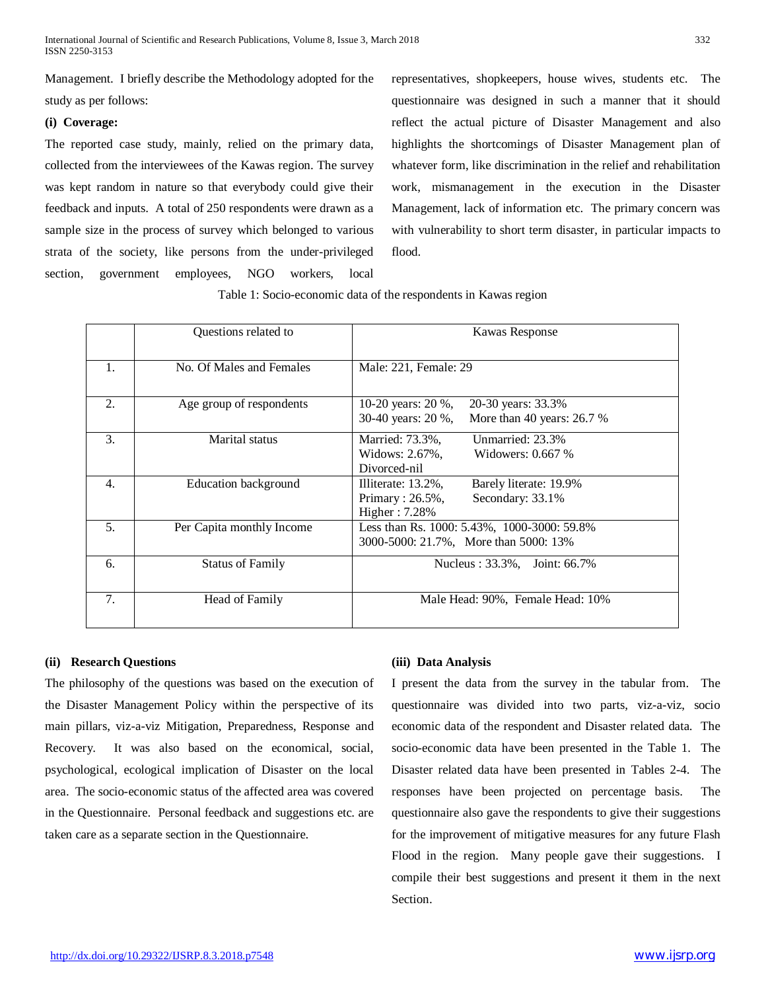Management. I briefly describe the Methodology adopted for the study as per follows:

## **(i) Coverage:**

The reported case study, mainly, relied on the primary data, collected from the interviewees of the Kawas region. The survey was kept random in nature so that everybody could give their feedback and inputs. A total of 250 respondents were drawn as a sample size in the process of survey which belonged to various strata of the society, like persons from the under-privileged section, government employees, NGO workers, local

representatives, shopkeepers, house wives, students etc. The questionnaire was designed in such a manner that it should reflect the actual picture of Disaster Management and also highlights the shortcomings of Disaster Management plan of whatever form, like discrimination in the relief and rehabilitation work, mismanagement in the execution in the Disaster Management, lack of information etc. The primary concern was with vulnerability to short term disaster, in particular impacts to flood.

Table 1: Socio-economic data of the respondents in Kawas region

|    | Questions related to        | Kawas Response                                                                                           |  |
|----|-----------------------------|----------------------------------------------------------------------------------------------------------|--|
| 1. | No. Of Males and Females    | Male: 221, Female: 29                                                                                    |  |
| 2. | Age group of respondents    | 10-20 years: 20 %,<br>20-30 years: 33.3%<br>30-40 years: 20 %,<br>More than 40 years: $26.7%$            |  |
| 3. | Marital status              | Unmarried: 23.3%<br>Married: 73.3%,<br>Widows: 2.67%,<br>Widowers: 0.667 %<br>Divorced-nil               |  |
| 4. | <b>Education background</b> | Illiterate: 13.2%,<br>Barely literate: 19.9%<br>Primary: $26.5\%$ ,<br>Secondary: 33.1%<br>Higher: 7.28% |  |
| 5. | Per Capita monthly Income   | Less than Rs. 1000: 5.43%, 1000-3000: 59.8%<br>3000-5000: 21.7%, More than 5000: 13%                     |  |
| 6. | <b>Status of Family</b>     | Nucleus: 33.3%, Joint: 66.7%                                                                             |  |
| 7. | Head of Family              | Male Head: 90%, Female Head: 10%                                                                         |  |

#### **(ii) Research Questions**

The philosophy of the questions was based on the execution of the Disaster Management Policy within the perspective of its main pillars, viz-a-viz Mitigation, Preparedness, Response and Recovery. It was also based on the economical, social, psychological, ecological implication of Disaster on the local area. The socio-economic status of the affected area was covered in the Questionnaire. Personal feedback and suggestions etc. are taken care as a separate section in the Questionnaire.

#### **(iii) Data Analysis**

I present the data from the survey in the tabular from. The questionnaire was divided into two parts, viz-a-viz, socio economic data of the respondent and Disaster related data. The socio-economic data have been presented in the Table 1. The Disaster related data have been presented in Tables 2-4. The responses have been projected on percentage basis. The questionnaire also gave the respondents to give their suggestions for the improvement of mitigative measures for any future Flash Flood in the region. Many people gave their suggestions. I compile their best suggestions and present it them in the next Section.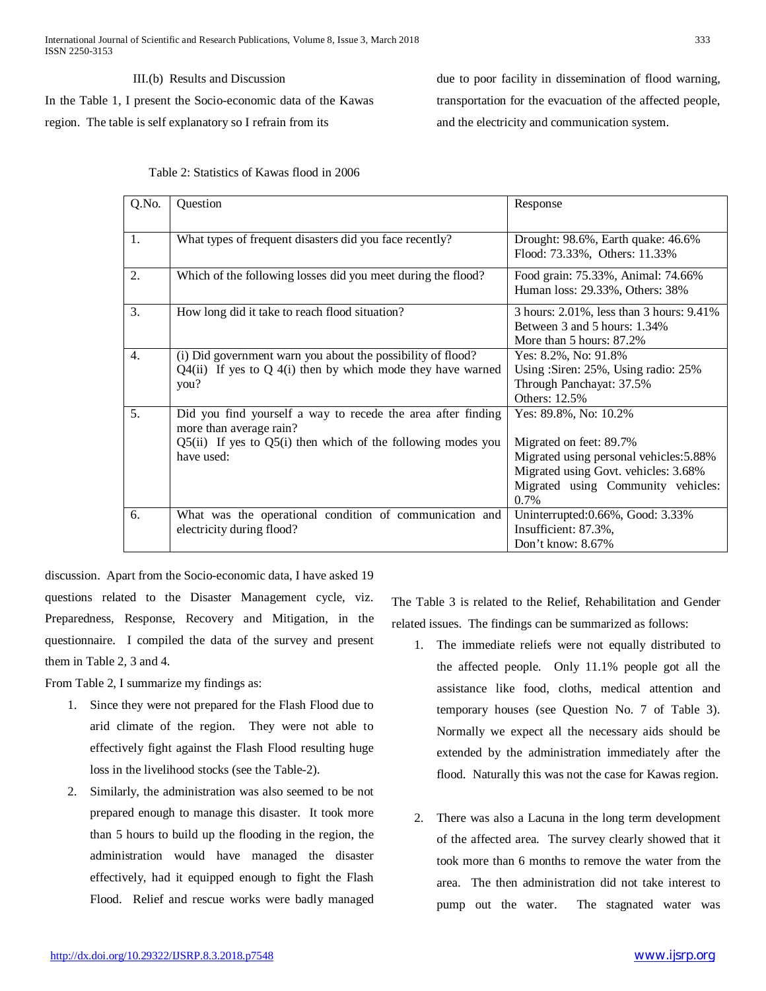III.(b) Results and Discussion In the Table 1, I present the Socio-economic data of the Kawas region. The table is self explanatory so I refrain from its

due to poor facility in dissemination of flood warning, transportation for the evacuation of the affected people, and the electricity and communication system.

| Q.No. | Question                                                                                                                                                                  | Response                                                                                                                                                                          |  |
|-------|---------------------------------------------------------------------------------------------------------------------------------------------------------------------------|-----------------------------------------------------------------------------------------------------------------------------------------------------------------------------------|--|
| 1.    | What types of frequent disasters did you face recently?                                                                                                                   | Drought: 98.6%, Earth quake: 46.6%<br>Flood: 73.33%, Others: 11.33%                                                                                                               |  |
| 2.    | Which of the following losses did you meet during the flood?                                                                                                              | Food grain: 75.33%, Animal: 74.66%<br>Human loss: 29.33%, Others: 38%                                                                                                             |  |
| 3.    | How long did it take to reach flood situation?                                                                                                                            | 3 hours: 2.01%, less than 3 hours: 9.41%<br>Between 3 and 5 hours: 1.34%<br>More than 5 hours: 87.2%                                                                              |  |
| 4.    | (i) Did government warn you about the possibility of flood?<br>$Q4(ii)$ If yes to $Q4(i)$ then by which mode they have warned<br>you?                                     | Yes: 8.2%, No: 91.8%<br>Using : Siren: 25%, Using radio: 25%<br>Through Panchayat: 37.5%<br>Others: 12.5%                                                                         |  |
| 5.    | Did you find yourself a way to recede the area after finding<br>more than average rain?<br>$Q5(ii)$ If yes to $Q5(i)$ then which of the following modes you<br>have used: | Yes: 89.8%, No: 10.2%<br>Migrated on feet: 89.7%<br>Migrated using personal vehicles: 5.88%<br>Migrated using Govt. vehicles: 3.68%<br>Migrated using Community vehicles:<br>0.7% |  |
| 6.    | What was the operational condition of communication and<br>electricity during flood?                                                                                      | Uninterrupted:0.66%, Good: 3.33%<br>Insufficient: 87.3%,<br>Don't know: 8.67%                                                                                                     |  |

discussion. Apart from the Socio-economic data, I have asked 19 questions related to the Disaster Management cycle, viz. Preparedness, Response, Recovery and Mitigation, in the questionnaire. I compiled the data of the survey and present them in Table 2, 3 and 4.

From Table 2, I summarize my findings as:

- 1. Since they were not prepared for the Flash Flood due to arid climate of the region. They were not able to effectively fight against the Flash Flood resulting huge loss in the livelihood stocks (see the Table-2).
- 2. Similarly, the administration was also seemed to be not prepared enough to manage this disaster. It took more than 5 hours to build up the flooding in the region, the administration would have managed the disaster effectively, had it equipped enough to fight the Flash Flood. Relief and rescue works were badly managed

The Table 3 is related to the Relief, Rehabilitation and Gender related issues. The findings can be summarized as follows:

- 1. The immediate reliefs were not equally distributed to the affected people. Only 11.1% people got all the assistance like food, cloths, medical attention and temporary houses (see Question No. 7 of Table 3). Normally we expect all the necessary aids should be extended by the administration immediately after the flood. Naturally this was not the case for Kawas region.
- 2. There was also a Lacuna in the long term development of the affected area. The survey clearly showed that it took more than 6 months to remove the water from the area. The then administration did not take interest to pump out the water. The stagnated water was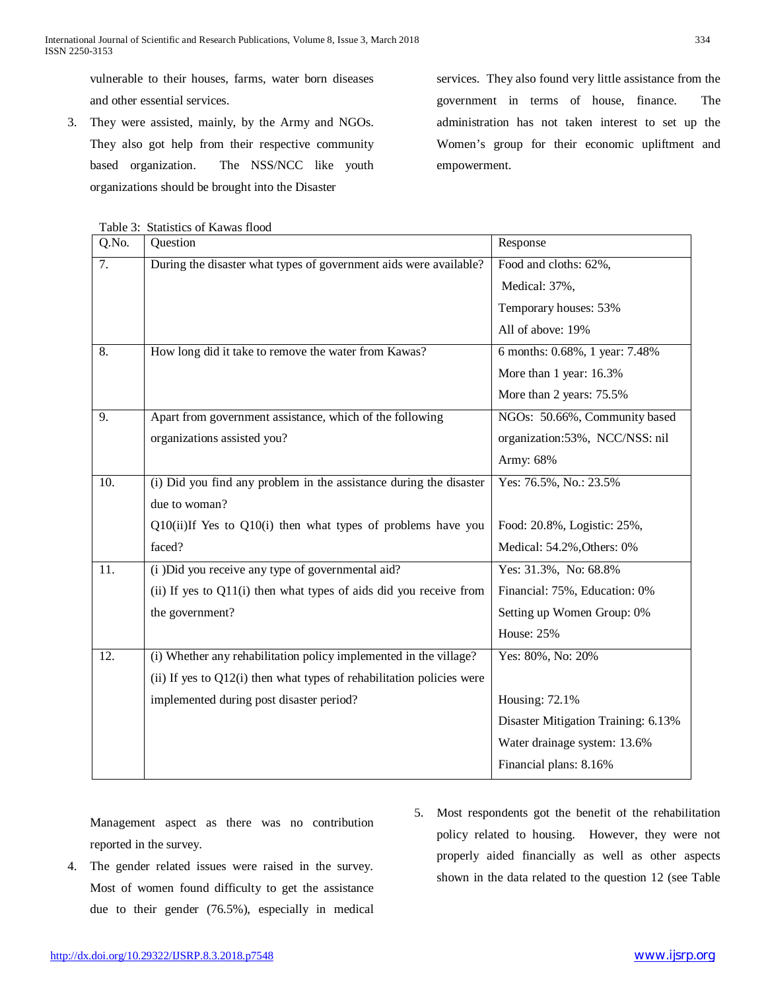vulnerable to their houses, farms, water born diseases and other essential services.

3. They were assisted, mainly, by the Army and NGOs. They also got help from their respective community based organization. The NSS/NCC like youth organizations should be brought into the Disaster

services. They also found very little assistance from the government in terms of house, finance. The administration has not taken interest to set up the Women's group for their economic upliftment and empowerment.

| r avit <i>J</i> . | Dialistics of Kawas Hood                                                |                                     |
|-------------------|-------------------------------------------------------------------------|-------------------------------------|
| Q.No.             | Question                                                                | Response                            |
| 7.                | During the disaster what types of government aids were available?       | Food and cloths: 62%,               |
|                   |                                                                         | Medical: 37%,                       |
|                   |                                                                         | Temporary houses: 53%               |
|                   |                                                                         | All of above: 19%                   |
| 8.                | How long did it take to remove the water from Kawas?                    | 6 months: 0.68%, 1 year: 7.48%      |
|                   |                                                                         | More than 1 year: 16.3%             |
|                   |                                                                         | More than 2 years: 75.5%            |
| $\overline{9}$ .  | Apart from government assistance, which of the following                | NGOs: 50.66%, Community based       |
|                   | organizations assisted you?                                             | organization:53%, NCC/NSS: nil      |
|                   |                                                                         | Army: 68%                           |
| 10.               | (i) Did you find any problem in the assistance during the disaster      | Yes: 76.5%, No.: 23.5%              |
|                   | due to woman?                                                           |                                     |
|                   | Q10(ii)If Yes to Q10(i) then what types of problems have you            | Food: 20.8%, Logistic: 25%,         |
|                   | faced?                                                                  | Medical: 54.2%, Others: 0%          |
| 11.               | (i) Did you receive any type of governmental aid?                       | Yes: 31.3%, No: 68.8%               |
|                   | (ii) If yes to Q11(i) then what types of aids did you receive from      | Financial: 75%, Education: 0%       |
|                   | the government?                                                         | Setting up Women Group: 0%          |
|                   |                                                                         | <b>House: 25%</b>                   |
| 12.               | (i) Whether any rehabilitation policy implemented in the village?       | Yes: 80%, No: 20%                   |
|                   | (ii) If yes to $Q12(i)$ then what types of rehabilitation policies were |                                     |
|                   | implemented during post disaster period?                                | Housing: 72.1%                      |
|                   |                                                                         | Disaster Mitigation Training: 6.13% |
|                   |                                                                         | Water drainage system: 13.6%        |
|                   |                                                                         | Financial plans: 8.16%              |
|                   |                                                                         |                                     |

Table 3: Statistics of Kawas flood

Management aspect as there was no contribution reported in the survey.

- 4. The gender related issues were raised in the survey. Most of women found difficulty to get the assistance due to their gender (76.5%), especially in medical
- 5. Most respondents got the benefit of the rehabilitation policy related to housing. However, they were not properly aided financially as well as other aspects shown in the data related to the question 12 (see Table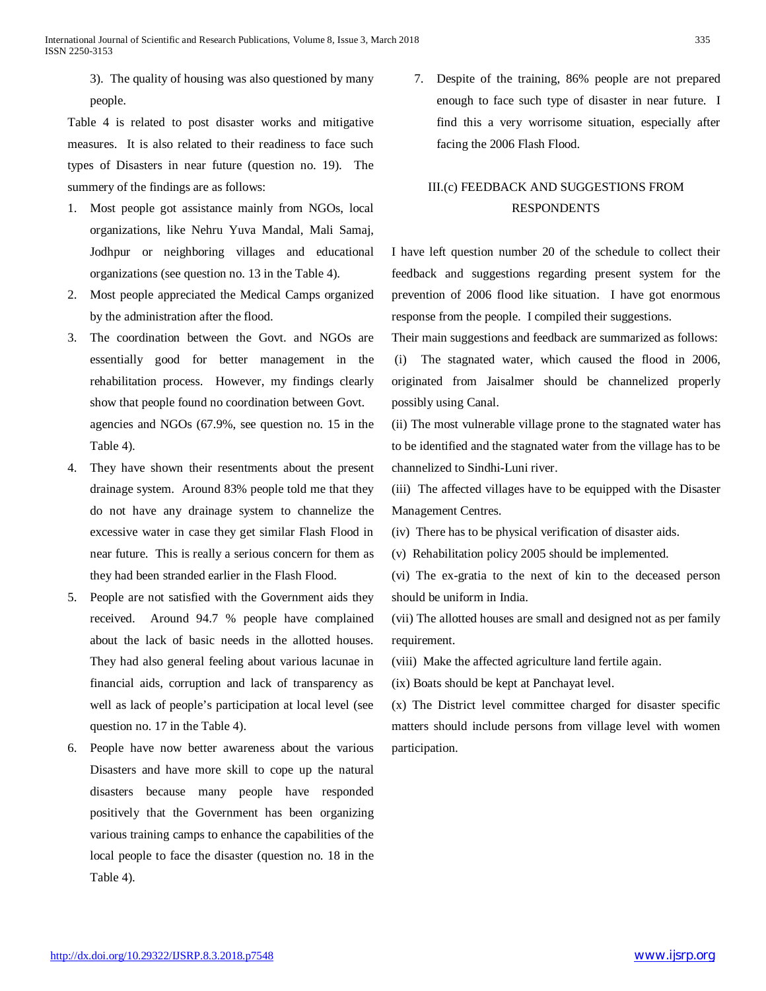3). The quality of housing was also questioned by many people.

Table 4 is related to post disaster works and mitigative measures. It is also related to their readiness to face such types of Disasters in near future (question no. 19). The summery of the findings are as follows:

- 1. Most people got assistance mainly from NGOs, local organizations, like Nehru Yuva Mandal, Mali Samaj, Jodhpur or neighboring villages and educational organizations (see question no. 13 in the Table 4).
- 2. Most people appreciated the Medical Camps organized by the administration after the flood.
- 3. The coordination between the Govt. and NGOs are essentially good for better management in the rehabilitation process. However, my findings clearly show that people found no coordination between Govt. agencies and NGOs (67.9%, see question no. 15 in the Table 4).
- 4. They have shown their resentments about the present drainage system. Around 83% people told me that they do not have any drainage system to channelize the excessive water in case they get similar Flash Flood in near future. This is really a serious concern for them as they had been stranded earlier in the Flash Flood.
- 5. People are not satisfied with the Government aids they received. Around 94.7 % people have complained about the lack of basic needs in the allotted houses. They had also general feeling about various lacunae in financial aids, corruption and lack of transparency as well as lack of people's participation at local level (see question no. 17 in the Table 4).
- 6. People have now better awareness about the various Disasters and have more skill to cope up the natural disasters because many people have responded positively that the Government has been organizing various training camps to enhance the capabilities of the local people to face the disaster (question no. 18 in the Table 4).

7. Despite of the training, 86% people are not prepared enough to face such type of disaster in near future. I find this a very worrisome situation, especially after facing the 2006 Flash Flood.

# III.(c) FEEDBACK AND SUGGESTIONS FROM RESPONDENTS

I have left question number 20 of the schedule to collect their feedback and suggestions regarding present system for the prevention of 2006 flood like situation. I have got enormous response from the people. I compiled their suggestions.

Their main suggestions and feedback are summarized as follows:

(i) The stagnated water, which caused the flood in 2006, originated from Jaisalmer should be channelized properly possibly using Canal.

(ii) The most vulnerable village prone to the stagnated water has to be identified and the stagnated water from the village has to be channelized to Sindhi-Luni river.

(iii) The affected villages have to be equipped with the Disaster Management Centres.

(iv) There has to be physical verification of disaster aids.

(v) Rehabilitation policy 2005 should be implemented.

(vi) The ex-gratia to the next of kin to the deceased person should be uniform in India.

(vii) The allotted houses are small and designed not as per family requirement.

(viii) Make the affected agriculture land fertile again.

(ix) Boats should be kept at Panchayat level.

(x) The District level committee charged for disaster specific matters should include persons from village level with women participation.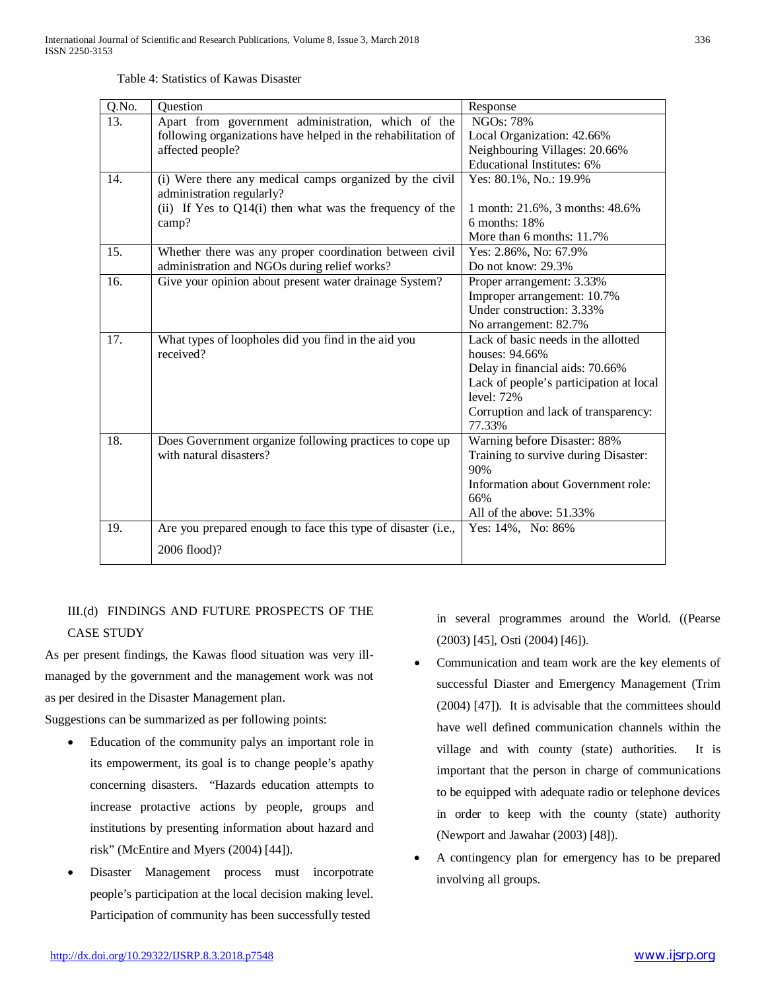| Table 4: Statistics of Kawas Disaster |  |  |  |
|---------------------------------------|--|--|--|
|---------------------------------------|--|--|--|

| Q.No. | Question                                                     | Response                                |
|-------|--------------------------------------------------------------|-----------------------------------------|
| 13.   | Apart from government administration, which of the           | <b>NGOs: 78%</b>                        |
|       | following organizations have helped in the rehabilitation of | Local Organization: 42.66%              |
|       | affected people?                                             | Neighbouring Villages: 20.66%           |
|       |                                                              | <b>Educational Institutes: 6%</b>       |
| 14.   | (i) Were there any medical camps organized by the civil      | Yes: 80.1%, No.: 19.9%                  |
|       | administration regularly?                                    |                                         |
|       | (ii) If Yes to Q14(i) then what was the frequency of the     | 1 month: 21.6%, 3 months: 48.6%         |
|       | camp?                                                        | $6$ months: $18%$                       |
|       |                                                              | More than 6 months: 11.7%               |
| 15.   | Whether there was any proper coordination between civil      | Yes: 2.86%, No: 67.9%                   |
|       | administration and NGOs during relief works?                 | Do not know: 29.3%                      |
| 16.   | Give your opinion about present water drainage System?       | Proper arrangement: 3.33%               |
|       |                                                              | Improper arrangement: 10.7%             |
|       |                                                              | Under construction: 3.33%               |
|       |                                                              | No arrangement: 82.7%                   |
| 17.   | What types of loopholes did you find in the aid you          | Lack of basic needs in the allotted     |
|       | received?                                                    | houses: 94.66%                          |
|       |                                                              | Delay in financial aids: 70.66%         |
|       |                                                              | Lack of people's participation at local |
|       |                                                              | level: $72%$                            |
|       |                                                              | Corruption and lack of transparency:    |
|       |                                                              | 77.33%                                  |
| 18.   | Does Government organize following practices to cope up      | Warning before Disaster: 88%            |
|       | with natural disasters?                                      | Training to survive during Disaster:    |
|       |                                                              | 90%                                     |
|       |                                                              | Information about Government role:      |
|       |                                                              | 66%                                     |
|       |                                                              | All of the above: 51.33%                |
| 19.   | Are you prepared enough to face this type of disaster (i.e., | Yes: 14%, No: 86%                       |
|       | 2006 flood)?                                                 |                                         |
|       |                                                              |                                         |

# III.(d) FINDINGS AND FUTURE PROSPECTS OF THE CASE STUDY

As per present findings, the Kawas flood situation was very illmanaged by the government and the management work was not as per desired in the Disaster Management plan.

Suggestions can be summarized as per following points:

- Education of the community palys an important role in its empowerment, its goal is to change people's apathy concerning disasters. "Hazards education attempts to increase protactive actions by people, groups and institutions by presenting information about hazard and risk" (McEntire and Myers (2004) [44]).
- Disaster Management process must incorpotrate people's participation at the local decision making level. Participation of community has been successfully tested

in several programmes around the World. ((Pearse (2003) [45], Osti (2004) [46]).

- Communication and team work are the key elements of successful Diaster and Emergency Management (Trim (2004) [47]). It is advisable that the committees should have well defined communication channels within the village and with county (state) authorities. It is important that the person in charge of communications to be equipped with adequate radio or telephone devices in order to keep with the county (state) authority (Newport and Jawahar (2003) [48]).
- A contingency plan for emergency has to be prepared involving all groups.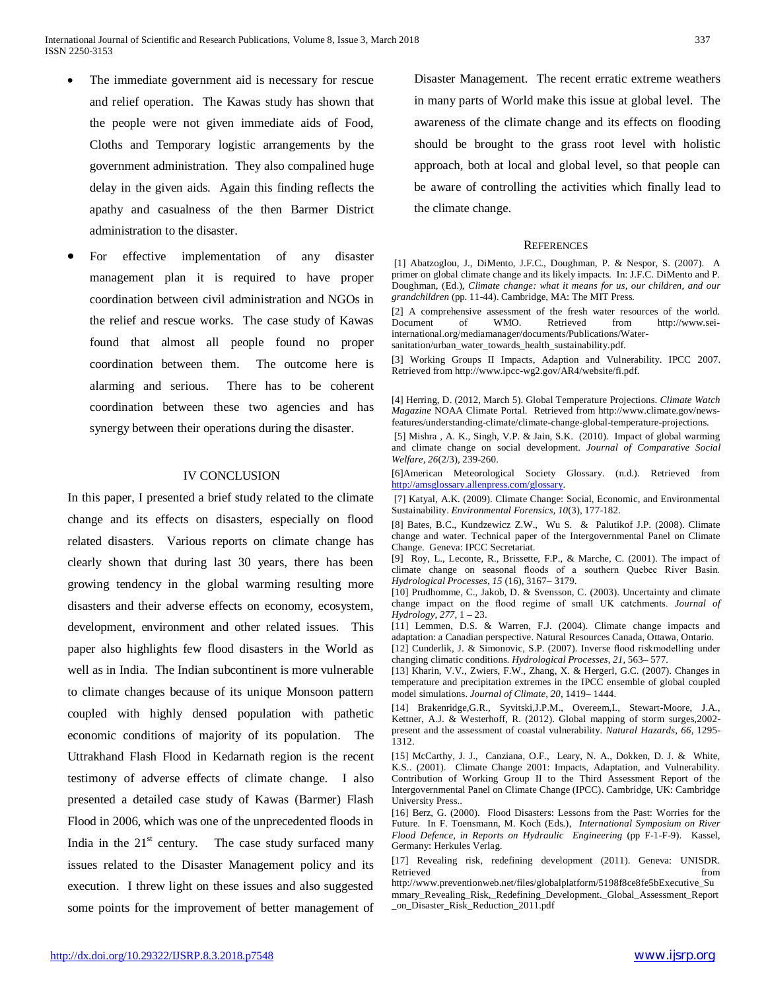- The immediate government aid is necessary for rescue and relief operation. The Kawas study has shown that the people were not given immediate aids of Food, Cloths and Temporary logistic arrangements by the government administration. They also compalined huge delay in the given aids. Again this finding reflects the apathy and casualness of the then Barmer District administration to the disaster.
- For effective implementation of any disaster management plan it is required to have proper coordination between civil administration and NGOs in the relief and rescue works. The case study of Kawas found that almost all people found no proper coordination between them. The outcome here is alarming and serious. There has to be coherent coordination between these two agencies and has synergy between their operations during the disaster.

#### IV CONCLUSION

In this paper, I presented a brief study related to the climate change and its effects on disasters, especially on flood related disasters. Various reports on climate change has clearly shown that during last 30 years, there has been growing tendency in the global warming resulting more disasters and their adverse effects on economy, ecosystem, development, environment and other related issues. This paper also highlights few flood disasters in the World as well as in India. The Indian subcontinent is more vulnerable to climate changes because of its unique Monsoon pattern coupled with highly densed population with pathetic economic conditions of majority of its population. The Uttrakhand Flash Flood in Kedarnath region is the recent testimony of adverse effects of climate change. I also presented a detailed case study of Kawas (Barmer) Flash Flood in 2006, which was one of the unprecedented floods in India in the  $21<sup>st</sup>$  century. The case study surfaced many issues related to the Disaster Management policy and its execution. I threw light on these issues and also suggested some points for the improvement of better management of Disaster Management. The recent erratic extreme weathers in many parts of World make this issue at global level. The awareness of the climate change and its effects on flooding should be brought to the grass root level with holistic approach, both at local and global level, so that people can be aware of controlling the activities which finally lead to the climate change.

#### **REFERENCES**

[1] Abatzoglou, J., DiMento, J.F.C., Doughman, P. & Nespor, S. (2007). A primer on global climate change and its likely impacts. In: J.F.C. DiMento and P. Doughman, (Ed.), *Climate change: what it means for us, our children, and our grandchildren* (pp. 11-44). Cambridge, MA: The MIT Press.

[2] A comprehensive assessment of the fresh water resources of the world. Document of WMO. Retrieved from [http://www.sei](http://www.sei-)international.org/mediamanager/documents/Publications/Watersanitation/urban\_water\_towards\_health\_sustainability.pdf.

[3] Working Groups II Impacts, Adaption and Vulnerability. IPCC 2007. Retrieved from <http://www.ipcc-wg2.gov/AR4/website/fi.pdf.>

[4] Herring, D. (2012, March 5). Global Temperature Projections. *Climate Watch Magazine* NOAA Climate Portal.Retrieved from [http://www.climate.gov/news](http://www.climate.gov/news-)features/understanding-climate/climate-change-global-temperature-projections.

[5] Mishra , A. K., Singh, V.P. & Jain, S.K. (2010). Impact of global warming and climate change on social development. *Journal of Comparative Social Welfare, 26*(2/3), 239-260.

[6]American Meteorological Society Glossary. (n.d.). Retrieved from <http://amsglossary.allenpress.com/glossary.>

[7] Katyal, A.K. (2009). Climate Change: Social, Economic, and Environmental Sustainability. *Environmental Forensics, 10*(3), 177-182.

[8] Bates, B.C., Kundzewicz Z.W., Wu S. & Palutikof J.P. (2008). Climate change and water. Technical paper of the Intergovernmental Panel on Climate Change. Geneva: IPCC Secretariat.

[9] Roy, L., Leconte, R., Brissette, F.P., & Marche, C. (2001). The impact of climate change on seasonal floods of a southern Quebec River Basin. *Hydrological Processes, 15* (16), 3167– 3179.

[10] Prudhomme, C., Jakob, D. & Svensson, C. (2003). Uncertainty and climate change impact on the flood regime of small UK catchments. *Journal of Hydrology, 277,* 1 – 23.

[11] Lemmen, D.S. & Warren, F.J. (2004). Climate change impacts and adaptation: a Canadian perspective. Natural Resources Canada, Ottawa, Ontario. [12] Cunderlik, J. & Simonovic, S.P. (2007). Inverse flood riskmodelling under changing climatic conditions. *Hydrological Processes, 21,* 563– 577*.*

[13] Kharin, V.V., Zwiers, F.W., Zhang, X. & Hergerl, G.C. (2007). Changes in temperature and precipitation extremes in the IPCC ensemble of global coupled model simulations. *Journal of Climate, 20,* 1419– 1444.

[14] Brakenridge,G.R., Syvitski,J.P.M., Overeem,I., Stewart-Moore, J.A., Kettner, A.J. & Westerhoff, R. (2012). Global mapping of storm surges,2002 present and the assessment of coastal vulnerability. *Natural Hazards*, *66*, 1295- 1312.

[15] McCarthy, J. J., Canziana, O.F., Leary, N. A., Dokken, D. J. & White, K.S.. (2001). Climate Change 2001: Impacts, Adaptation, and Vulnerability. Contribution of Working Group II to the Third Assessment Report of the Intergovernmental Panel on Climate Change (IPCC). Cambridge, UK: Cambridge University Press..

[16] Berz, G. (2000). Flood Disasters: Lessons from the Past: Worries for the Future. In F. Toensmann, M. Koch (Eds.), *International Symposium on River Flood Defence, in Reports on Hydraulic Engineering* (pp F-1-F-9). Kassel, Germany: Herkules Verlag.

[17] Revealing risk, redefining development (2011). Geneva: UNISDR. Retrieved from  $\sim$ 

[http://www.preventionweb.net/files/globalplatform/5198f8ce8fe5bExecutive\\_Su](http://www.preventionweb.net/files/globalplatform/5198f8ce8fe5bExecutive_Su) mmary\_Revealing\_Risk,\_Redefining\_Development.\_Global\_Assessment\_Report \_on\_Disaster\_Risk\_Reduction\_2011.pdf